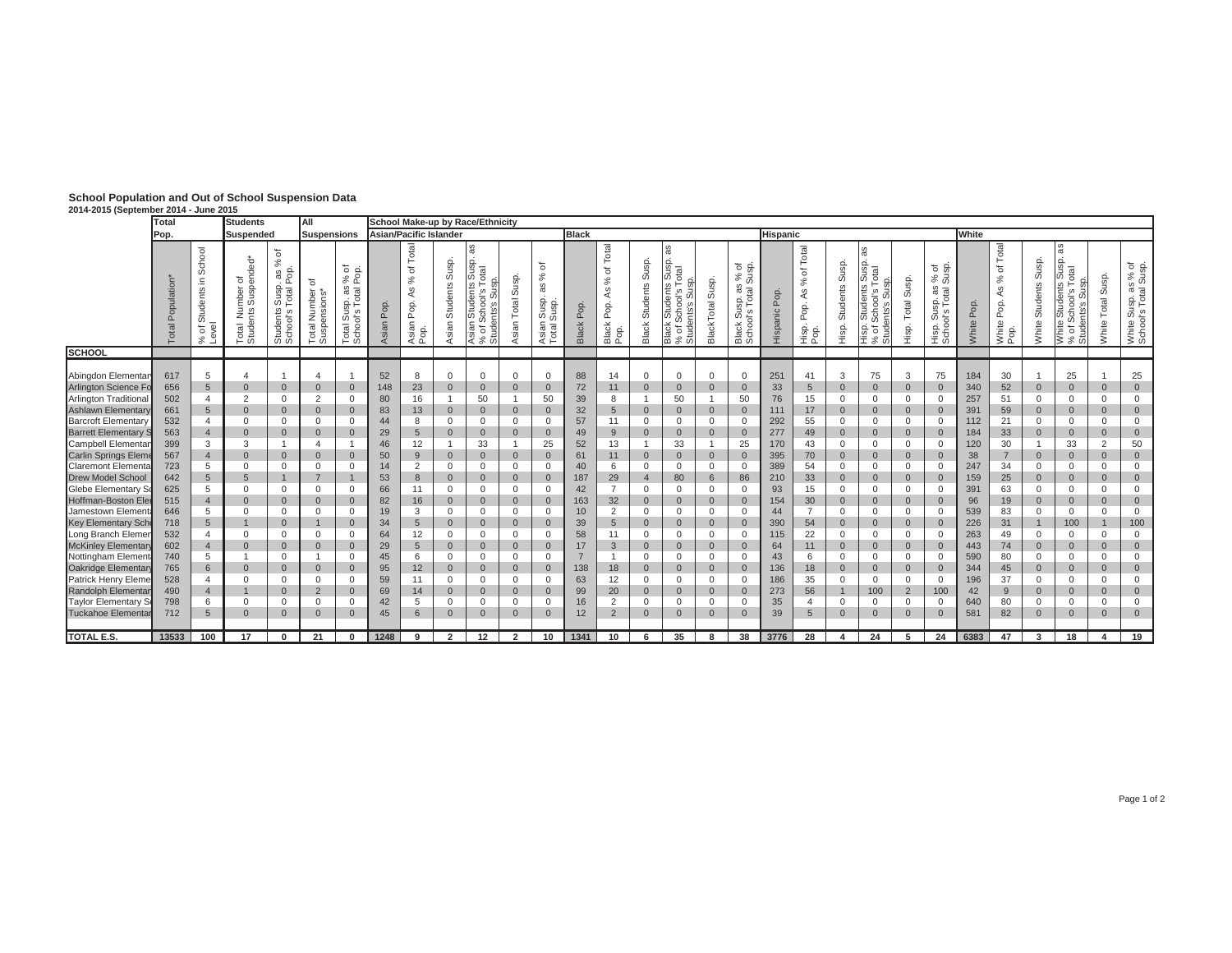| School Population and Out of School Suspension Data |
|-----------------------------------------------------|
| 2014-2015 (Sentember 2014 - June 2015               |

| 2014-2015 (September 2014 - June 2015                                                                                                                                                                                                                                                                                                                                                                          |                                                                                                              |                                                                                                                                                                                                                |                                                                                                                                                                                                                    |                                                                                                                                                                                                                |                                                                                                                                                                                            |                                                                                                                                                                                                                       |                                                                                               |                                                                                                                |                                                                                                                                                                                                                                                     |                                                                                                                                                                                                                                 |                                                                                                                                                                                                                          |                                                                                                                                                                                                     |                                                                                                |                                                                                                   |                                                                                                                                                                                                               |                                                                                                                                                                                                                                      |                                                                                                                                                                                                                                                        |                                                                                                                                                                                                                                                          |                                                                                                         |                                                                                                         |                                                                                                                                                                                                                                                        |                                                                                                                                                                                                                                    |                                                                                                                                                                                                                                                 |                                                                                                                                                                                                                                                    |                                                                                                            |                                                                                                          |                                                                                                                                                                                                        |                                                                                                                                                                                                                  |                                                                                                                                                                                                  |                                                                                                                                                                                                                        |  |  |
|----------------------------------------------------------------------------------------------------------------------------------------------------------------------------------------------------------------------------------------------------------------------------------------------------------------------------------------------------------------------------------------------------------------|--------------------------------------------------------------------------------------------------------------|----------------------------------------------------------------------------------------------------------------------------------------------------------------------------------------------------------------|--------------------------------------------------------------------------------------------------------------------------------------------------------------------------------------------------------------------|----------------------------------------------------------------------------------------------------------------------------------------------------------------------------------------------------------------|--------------------------------------------------------------------------------------------------------------------------------------------------------------------------------------------|-----------------------------------------------------------------------------------------------------------------------------------------------------------------------------------------------------------------------|-----------------------------------------------------------------------------------------------|----------------------------------------------------------------------------------------------------------------|-----------------------------------------------------------------------------------------------------------------------------------------------------------------------------------------------------------------------------------------------------|---------------------------------------------------------------------------------------------------------------------------------------------------------------------------------------------------------------------------------|--------------------------------------------------------------------------------------------------------------------------------------------------------------------------------------------------------------------------|-----------------------------------------------------------------------------------------------------------------------------------------------------------------------------------------------------|------------------------------------------------------------------------------------------------|---------------------------------------------------------------------------------------------------|---------------------------------------------------------------------------------------------------------------------------------------------------------------------------------------------------------------|--------------------------------------------------------------------------------------------------------------------------------------------------------------------------------------------------------------------------------------|--------------------------------------------------------------------------------------------------------------------------------------------------------------------------------------------------------------------------------------------------------|----------------------------------------------------------------------------------------------------------------------------------------------------------------------------------------------------------------------------------------------------------|---------------------------------------------------------------------------------------------------------|---------------------------------------------------------------------------------------------------------|--------------------------------------------------------------------------------------------------------------------------------------------------------------------------------------------------------------------------------------------------------|------------------------------------------------------------------------------------------------------------------------------------------------------------------------------------------------------------------------------------|-------------------------------------------------------------------------------------------------------------------------------------------------------------------------------------------------------------------------------------------------|----------------------------------------------------------------------------------------------------------------------------------------------------------------------------------------------------------------------------------------------------|------------------------------------------------------------------------------------------------------------|----------------------------------------------------------------------------------------------------------|--------------------------------------------------------------------------------------------------------------------------------------------------------------------------------------------------------|------------------------------------------------------------------------------------------------------------------------------------------------------------------------------------------------------------------|--------------------------------------------------------------------------------------------------------------------------------------------------------------------------------------------------|------------------------------------------------------------------------------------------------------------------------------------------------------------------------------------------------------------------------|--|--|
|                                                                                                                                                                                                                                                                                                                                                                                                                | Total                                                                                                        |                                                                                                                                                                                                                | <b>Students</b>                                                                                                                                                                                                    |                                                                                                                                                                                                                | IAII                                                                                                                                                                                       |                                                                                                                                                                                                                       |                                                                                               |                                                                                                                |                                                                                                                                                                                                                                                     | School Make-up by Race/Ethnicity                                                                                                                                                                                                |                                                                                                                                                                                                                          |                                                                                                                                                                                                     |                                                                                                |                                                                                                   |                                                                                                                                                                                                               |                                                                                                                                                                                                                                      |                                                                                                                                                                                                                                                        |                                                                                                                                                                                                                                                          |                                                                                                         |                                                                                                         |                                                                                                                                                                                                                                                        |                                                                                                                                                                                                                                    |                                                                                                                                                                                                                                                 |                                                                                                                                                                                                                                                    |                                                                                                            |                                                                                                          |                                                                                                                                                                                                        |                                                                                                                                                                                                                  |                                                                                                                                                                                                  |                                                                                                                                                                                                                        |  |  |
|                                                                                                                                                                                                                                                                                                                                                                                                                | Pop.                                                                                                         |                                                                                                                                                                                                                | Suspended                                                                                                                                                                                                          |                                                                                                                                                                                                                | <b>Suspensions</b>                                                                                                                                                                         |                                                                                                                                                                                                                       | <b>Asian/Pacific Islander</b>                                                                 |                                                                                                                |                                                                                                                                                                                                                                                     |                                                                                                                                                                                                                                 |                                                                                                                                                                                                                          |                                                                                                                                                                                                     | <b>Black</b>                                                                                   |                                                                                                   |                                                                                                                                                                                                               |                                                                                                                                                                                                                                      |                                                                                                                                                                                                                                                        |                                                                                                                                                                                                                                                          | <b>Hispanic</b>                                                                                         |                                                                                                         |                                                                                                                                                                                                                                                        |                                                                                                                                                                                                                                    |                                                                                                                                                                                                                                                 |                                                                                                                                                                                                                                                    | <b>White</b>                                                                                               |                                                                                                          |                                                                                                                                                                                                        |                                                                                                                                                                                                                  |                                                                                                                                                                                                  |                                                                                                                                                                                                                        |  |  |
|                                                                                                                                                                                                                                                                                                                                                                                                                | Population<br>Total                                                                                          | School<br>Students in<br>୍ଥ<br>$\overline{\circ}$<br>Œ<br>$\%$<br>۰                                                                                                                                            | lumber of<br>ts Suspended*<br>fis<br>z<br>Total I                                                                                                                                                                  | đ<br>$\%$<br>as<br>Pop<br>Susp.<br>Total<br>Students:<br>School's T                                                                                                                                            | ৳<br>Number<br>ansions<br>Total<br>Suspe                                                                                                                                                   | % of<br>Pop.<br>æ<br>Total<br>Susp.<br>$\omega$<br>Total Su                                                                                                                                                           | $\theta$<br>$\overline{a}$<br>Asian                                                           | Total<br>đ<br>వ<br>4S<br>Pop.<br>Asian<br>Pop.                                                                 | Susp.<br>Students<br>Asian                                                                                                                                                                                                                          | æ<br>ą<br>otal<br>$\infty$<br>s<br>s,loo<br>tudent<br>€<br>Ō<br>ಕ ಕ<br>.<br>ಕಿ * ಕ                                                                                                                                              | Susp<br>Total<br>Asian                                                                                                                                                                                                   | ঌ<br>$\%$<br>æ<br>usp.<br>dsng<br>Sang<br>Asian<br>Total 9                                                                                                                                          | P <sub>op</sub><br>Black                                                                       | Total<br>$\overline{\sigma}$<br>$\%$<br>4S<br>Pop.<br>Black<br>Pop.                               | Susp.<br>Students<br>Black                                                                                                                                                                                    | æ<br>s Susp.<br>Total<br>SD.<br><b>Students</b><br>School's<br>ents's Sus<br>ents<br>Black<br>% of S<br>% of<br>Stude                                                                                                                | Susp.<br>BlackTotal                                                                                                                                                                                                                                    | ் க்<br>శి శ<br>$\frac{3}{10}$<br>Susp.<br>ol's Tota<br>Black<br>Schoo                                                                                                                                                                                   | Pop.<br>Hispanic                                                                                        | Total<br>৳<br>$\%$<br>ÅS<br>Pop.<br>Hisp.<br>Pop                                                        | Susp.<br><b>Students</b><br>Hisp.                                                                                                                                                                                                                      | <sub>3S</sub><br>Susp.<br>otal<br><b>Students</b><br>chool's<br>hts's Sus<br>Ø<br>Hisp.<br>% of<br>- ೫ ಕೆ                                                                                                                          | Susp.<br>Total<br>Hisp.                                                                                                                                                                                                                         | % of<br>Susp.<br>isp. as<br>Total s<br>sus<br>of<br>Hisp.<br>Scho                                                                                                                                                                                  | 8<br>ه<br>White                                                                                            | Total<br>đ<br>$\%$<br>Æ<br>Pop.<br>White<br>Pop.                                                         | Susp<br>Students<br>White                                                                                                                                                                              | æ<br>usp.<br>otal<br>S<br>SD.<br>tudents<br>$\omega$<br>iloo<br>S<br>Ò.<br>$\omega$<br>White<br>% of<br>Stud                                                                                                     | Susp.<br>Total<br>White                                                                                                                                                                          | White Susp. as % of<br>School's Total Susp.                                                                                                                                                                            |  |  |
| <b>SCHOOL</b>                                                                                                                                                                                                                                                                                                                                                                                                  |                                                                                                              |                                                                                                                                                                                                                |                                                                                                                                                                                                                    |                                                                                                                                                                                                                |                                                                                                                                                                                            |                                                                                                                                                                                                                       |                                                                                               |                                                                                                                |                                                                                                                                                                                                                                                     |                                                                                                                                                                                                                                 |                                                                                                                                                                                                                          |                                                                                                                                                                                                     |                                                                                                |                                                                                                   |                                                                                                                                                                                                               |                                                                                                                                                                                                                                      |                                                                                                                                                                                                                                                        |                                                                                                                                                                                                                                                          |                                                                                                         |                                                                                                         |                                                                                                                                                                                                                                                        |                                                                                                                                                                                                                                    |                                                                                                                                                                                                                                                 |                                                                                                                                                                                                                                                    |                                                                                                            |                                                                                                          |                                                                                                                                                                                                        |                                                                                                                                                                                                                  |                                                                                                                                                                                                  |                                                                                                                                                                                                                        |  |  |
| Abingdon Elementar<br>Arlington Science Fo<br><b>Arlington Traditional</b><br>Ashlawn Elementar<br><b>Barcroft Elementar</b><br><b>Barrett Elementary S</b><br>Campbell Elemental<br>Carlin Springs Eleme<br><b>Claremont Elementa</b><br><b>Drew Model School</b><br>Glebe Elementary So<br>Hoffman-Boston Eler<br>Jamestown Elemen<br><b>Key Elementary Sch</b><br>Long Branch Elemer<br>McKinley Elementary | 617<br>656<br>502<br>661<br>532<br>563<br>399<br>567<br>723<br>642<br>625<br>515<br>646<br>718<br>532<br>602 | 5<br>$\overline{5}$<br>$\overline{4}$<br>5<br>$\overline{4}$<br>$\overline{4}$<br>3<br>$\overline{4}$<br>5<br>$\overline{5}$<br>5<br>$\overline{4}$<br>5<br>$5\phantom{1}$<br>$\overline{4}$<br>$\overline{4}$ | $\overline{4}$<br>$\mathbf{0}$<br>2<br>$\mathbf{0}$<br>$\mathbf 0$<br>$\mathbf{0}$<br>3<br>$\mathbf{0}$<br>$\mathbf 0$<br>5<br>$\Omega$<br>$\mathbf{0}$<br>$\Omega$<br>$\mathbf{1}$<br>$\mathbf 0$<br>$\mathbf{0}$ | $\overline{0}$<br>$\mathbf 0$<br>$\mathbf{0}$<br>$\mathbf 0$<br>$\overline{0}$<br>$\overline{0}$<br>$\mathbf 0$<br>$\mathbf{0}$<br>$\mathbf{0}$<br>$\mathbf{0}$<br>$\mathbf{0}$<br>$\mathbf{0}$<br>$\mathbf 0$ | 4<br>$\mathbf{0}$<br>2<br>$\mathbf{0}$<br>0<br>$\mathbf{0}$<br>$\overline{4}$<br>$\mathbf{0}$<br>$\mathbf 0$<br>$\overline{7}$<br>$\mathbf{0}$<br>$\mathbf{0}$<br>0<br>0<br>$\overline{0}$ | $\mathbf{0}$<br>$\mathbf 0$<br>$\mathbf{0}$<br>$\Omega$<br>$\mathbf{0}$<br>$\overline{1}$<br>$\mathbf{0}$<br>$\mathbf 0$<br>$\mathbf 0$<br>$\mathbf{0}$<br>$\mathbf 0$<br>$\mathbf{0}$<br>$\mathbf 0$<br>$\mathbf{0}$ | 52<br>148<br>80<br>83<br>44<br>29<br>46<br>50<br>14<br>53<br>66<br>82<br>19<br>34<br>64<br>29 | 8<br>23<br>16<br>13<br>8<br>5<br>12<br>9<br>2<br>8<br>11<br>16<br>3<br>$5\overline{)}$<br>12<br>5 <sup>5</sup> | $\mathbf 0$<br>$\mathbf{0}$<br>$\overline{1}$<br>$\mathbf{0}$<br>$\mathbf 0$<br>$\mathbf{0}$<br>$\overline{1}$<br>$\mathbf 0$<br>$\mathbf 0$<br>$\mathbf{0}$<br>$\Omega$<br>$\mathbf{0}$<br>$\Omega$<br>$\mathbf{0}$<br>$\mathbf 0$<br>$\mathbf{0}$ | $\Omega$<br>$\mathbf 0$<br>50<br>$\mathbf{0}$<br>$\mathbf{0}$<br>$\mathbf{0}$<br>33<br>$\mathbf{0}$<br>$\mathbf{0}$<br>$\mathbf{0}$<br>$\Omega$<br>$\mathbf{0}$<br>$\mathbf{0}$<br>$\mathbf{0}$<br>$\mathbf{0}$<br>$\mathbf{0}$ | $\Omega$<br>$\overline{0}$<br>$\overline{0}$<br>$\Omega$<br>$\overline{0}$<br>$\overline{1}$<br>$\mathbf{0}$<br>$\mathbf{0}$<br>$\mathbf{0}$<br>$\Omega$<br>$\mathbf{0}$<br>$\Omega$<br>$\mathbf 0$<br>0<br>$\mathbf{0}$ | 0<br>$\mathbf{0}$<br>50<br>$\overline{0}$<br>0<br>$\overline{0}$<br>25<br>$\overline{0}$<br>$\Omega$<br>$\mathbf{0}$<br>$\Omega$<br>$\mathbf{0}$<br>$\Omega$<br>$\mathbf{0}$<br>0<br>$\overline{0}$ | 88<br>72<br>39<br>32<br>57<br>49<br>52<br>61<br>40<br>187<br>42<br>163<br>10<br>39<br>58<br>17 | 14<br>11<br>8<br>5<br>11<br>9<br>13<br>11<br>6<br>29<br>$\overline{7}$<br>32<br>2<br>5<br>11<br>3 | $\mathbf{0}$<br>$\mathbf 0$<br>$\overline{0}$<br>$\mathbf 0$<br>$\overline{0}$<br>$\overline{0}$<br>$\mathbf 0$<br>$\overline{4}$<br>0<br>$\overline{0}$<br>0<br>$\mathbf{0}$<br>$\mathbf{0}$<br>$\mathbf{0}$ | $\mathbf{0}$<br>$\overline{0}$<br>50<br>$\overline{0}$<br>$\mathbf 0$<br>$\mathbf 0$<br>33<br>$\overline{0}$<br>$\mathbf 0$<br>80<br>$\mathbf 0$<br>$\overline{0}$<br>$\mathbf 0$<br>$\overline{0}$<br>$\mathbf 0$<br>$\overline{0}$ | $\mathbf 0$<br>$\overline{0}$<br>1<br>$\mathbf{0}$<br>$\mathbf 0$<br>$\mathbf{0}$<br>$\mathbf{1}$<br>$\mathbf 0$<br>$\mathbf 0$<br>$6\overline{6}$<br>$\mathbf 0$<br>$\overline{0}$<br>$\mathbf 0$<br>$\mathbf{0}$<br>$\overline{0}$<br>$\overline{0}$ | $\overline{0}$<br>$\overline{0}$<br>50<br>$\overline{0}$<br>$\overline{0}$<br>$\overline{0}$<br>25<br>$\overline{0}$<br>$\overline{0}$<br>86<br>$\overline{0}$<br>$\overline{0}$<br>$\overline{0}$<br>$\overline{0}$<br>$\overline{0}$<br>$\overline{0}$ | 251<br>33<br>76<br>111<br>292<br>277<br>170<br>395<br>389<br>210<br>93<br>154<br>44<br>390<br>115<br>64 | 41<br>5<br>15<br>17<br>55<br>49<br>43<br>70<br>54<br>33<br>15<br>30<br>$\overline{7}$<br>54<br>22<br>11 | 3<br>$\mathbf 0$<br>$\mathbf{0}$<br>$\overline{0}$<br>$\mathbf{0}$<br>$\overline{0}$<br>$\mathbf 0$<br>$\mathsf{O}\xspace$<br>$\mathbf 0$<br>$\mathbf 0$<br>$\mathbf 0$<br>$\overline{0}$<br>$\mathbf 0$<br>$\mathbf{0}$<br>$\mathbf 0$<br>$\mathbf 0$ | 75<br>$\mathbf 0$<br>0<br>$\mathbf 0$<br>$\mathbf 0$<br>$\mathbf 0$<br>$\mathbf 0$<br>$\overline{0}$<br>$\mathbf 0$<br>$\mathbf{0}$<br>$\mathbf 0$<br>$\mathbf{0}$<br>$\mathbf 0$<br>$\mathbf{0}$<br>$\overline{0}$<br>$\mathbf 0$ | 3<br>$\overline{0}$<br>$\Omega$<br>$\overline{0}$<br>$\mathbf 0$<br>$\overline{0}$<br>$\Omega$<br>$\overline{0}$<br>$\mathbf 0$<br>$\overline{0}$<br>$\mathbf 0$<br>$\overline{0}$<br>$\Omega$<br>$\overline{0}$<br>$\mathbf 0$<br>$\mathbf{0}$ | 75<br>$\overline{0}$<br>$\Omega$<br>$\overline{0}$<br>$\Omega$<br>$\overline{0}$<br>$\Omega$<br>$\overline{0}$<br>$\Omega$<br>$\overline{0}$<br>$\mathbf{0}$<br>$\overline{0}$<br>$\mathbf{0}$<br>$\overline{0}$<br>$\mathbf{0}$<br>$\overline{0}$ | 184<br>340<br>257<br>391<br>112<br>184<br>120<br>38<br>247<br>159<br>391<br>96<br>539<br>226<br>263<br>443 | 30<br>52<br>51<br>59<br>21<br>33<br>30<br>$\overline{7}$<br>34<br>25<br>63<br>19<br>83<br>31<br>49<br>74 | $\mathbf{0}$<br>$\mathbf 0$<br>$\overline{0}$<br>$\Omega$<br>$\overline{0}$<br>$\overline{0}$<br>$\Omega$<br>$\mathbf{0}$<br>$\mathbf 0$<br>$\mathbf{0}$<br>$\mathbf 0$<br>$\mathbf 0$<br>$\mathbf{0}$ | 25<br>$\mathbf{0}$<br>$\mathbf{0}$<br>$\mathbf{0}$<br>$\Omega$<br>$\mathbf{0}$<br>33<br>$\mathbf{0}$<br>$\Omega$<br>$\mathbf{0}$<br>$\Omega$<br>$\mathbf 0$<br>$\mathbf 0$<br>100<br>$\mathbf{0}$<br>$\mathbf 0$ | $\mathbf 0$<br>$\mathbf 0$<br>$\mathbf{0}$<br>$\Omega$<br>$\mathbf{0}$<br>2<br>$\mathbf{0}$<br>$\Omega$<br>$\mathbf{0}$<br>$\mathbf 0$<br>$\mathbf{0}$<br>$\mathbf 0$<br>$\Omega$<br>$\mathbf 0$ | 25<br>$\mathbf 0$<br>0<br>$\mathbf 0$<br>$\mathbf 0$<br>$\mathbf 0$<br>50<br>$\mathsf{O}\xspace$<br>$\mathbf 0$<br>$\mathsf{O}\xspace$<br>$\mathbf 0$<br>$\mathbf 0$<br>0<br>100<br>$\mathbf 0$<br>$\mathsf{O}\xspace$ |  |  |
| Nottingham Elemer                                                                                                                                                                                                                                                                                                                                                                                              | 740                                                                                                          | 5                                                                                                                                                                                                              | $\overline{1}$                                                                                                                                                                                                     | $\mathbf 0$                                                                                                                                                                                                    |                                                                                                                                                                                            | $\mathbf 0$                                                                                                                                                                                                           | 45                                                                                            | 6                                                                                                              | $\mathbf 0$                                                                                                                                                                                                                                         | $\Omega$                                                                                                                                                                                                                        | $\Omega$                                                                                                                                                                                                                 | $\Omega$                                                                                                                                                                                            | $\overline{7}$                                                                                 |                                                                                                   | $\mathbf 0$                                                                                                                                                                                                   | $\mathbf 0$                                                                                                                                                                                                                          | $\mathbf 0$                                                                                                                                                                                                                                            | $\overline{0}$                                                                                                                                                                                                                                           | 43                                                                                                      | 6                                                                                                       | $\mathbf 0$                                                                                                                                                                                                                                            | $\mathbf 0$                                                                                                                                                                                                                        | $\mathbf 0$                                                                                                                                                                                                                                     | $\Omega$                                                                                                                                                                                                                                           | 590                                                                                                        | 80                                                                                                       | $\mathbf 0$                                                                                                                                                                                            | $\Omega$                                                                                                                                                                                                         | $\Omega$                                                                                                                                                                                         | $\mathbf 0$                                                                                                                                                                                                            |  |  |
| Oakridge Elementar                                                                                                                                                                                                                                                                                                                                                                                             | 765                                                                                                          | $\,6\,$                                                                                                                                                                                                        | $\mathbf{0}$                                                                                                                                                                                                       | $\mathbf 0$                                                                                                                                                                                                    | $\mathbf 0$                                                                                                                                                                                | $\mathbf 0$                                                                                                                                                                                                           | 95                                                                                            | 12                                                                                                             | $\mathbf 0$                                                                                                                                                                                                                                         | $\mathbf 0$                                                                                                                                                                                                                     | $\mathbf 0$                                                                                                                                                                                                              | 0                                                                                                                                                                                                   | 138                                                                                            | 18                                                                                                | $\mathbf{0}$                                                                                                                                                                                                  | $\mathbf 0$                                                                                                                                                                                                                          | $\mathbf 0$                                                                                                                                                                                                                                            | $\overline{0}$                                                                                                                                                                                                                                           | 136                                                                                                     | 18                                                                                                      | $\mathbf 0$                                                                                                                                                                                                                                            | $\overline{0}$                                                                                                                                                                                                                     | $\mathbf{0}$                                                                                                                                                                                                                                    | $\overline{0}$                                                                                                                                                                                                                                     | 344                                                                                                        | 45                                                                                                       | $\mathbf 0$                                                                                                                                                                                            | $\mathbf{0}$                                                                                                                                                                                                     | $\mathbf 0$                                                                                                                                                                                      | $\mathsf{O}\xspace$                                                                                                                                                                                                    |  |  |
| Patrick Henry Eleme                                                                                                                                                                                                                                                                                                                                                                                            | 528                                                                                                          | $\overline{4}$                                                                                                                                                                                                 | $\Omega$                                                                                                                                                                                                           | $\mathbf 0$                                                                                                                                                                                                    | $\mathbf{0}$                                                                                                                                                                               | $\mathbf 0$                                                                                                                                                                                                           | 59                                                                                            | 11                                                                                                             | $\mathbf 0$                                                                                                                                                                                                                                         | $\mathbf{0}$                                                                                                                                                                                                                    | $\Omega$                                                                                                                                                                                                                 | $\Omega$                                                                                                                                                                                            | 63                                                                                             | 12                                                                                                | $\mathbf{0}$                                                                                                                                                                                                  | $\mathbf 0$                                                                                                                                                                                                                          | $\mathbf 0$                                                                                                                                                                                                                                            | $\overline{0}$                                                                                                                                                                                                                                           | 186                                                                                                     | 35                                                                                                      | $\mathbf 0$                                                                                                                                                                                                                                            | $\mathbf 0$                                                                                                                                                                                                                        | $\mathbf 0$                                                                                                                                                                                                                                     | $\Omega$                                                                                                                                                                                                                                           | 196                                                                                                        | 37                                                                                                       | $\Omega$                                                                                                                                                                                               | $\Omega$                                                                                                                                                                                                         | $\Omega$                                                                                                                                                                                         | $\mathbf 0$                                                                                                                                                                                                            |  |  |
| Randolph Elementar                                                                                                                                                                                                                                                                                                                                                                                             | 490                                                                                                          | $\overline{4}$                                                                                                                                                                                                 |                                                                                                                                                                                                                    | $\mathbf{0}$                                                                                                                                                                                                   | $\overline{2}$                                                                                                                                                                             | $\mathbf{0}$                                                                                                                                                                                                          | 69                                                                                            | 14                                                                                                             | $\mathbf{0}$                                                                                                                                                                                                                                        | $\mathbf{0}$                                                                                                                                                                                                                    | $\overline{0}$                                                                                                                                                                                                           | $\overline{0}$                                                                                                                                                                                      | 99                                                                                             | 20                                                                                                | $\overline{0}$                                                                                                                                                                                                | $\overline{0}$                                                                                                                                                                                                                       | $\mathbf{0}$                                                                                                                                                                                                                                           | $\mathbf{0}$                                                                                                                                                                                                                                             | 273                                                                                                     | 56                                                                                                      | $\overline{1}$                                                                                                                                                                                                                                         | 100                                                                                                                                                                                                                                | $\overline{2}$                                                                                                                                                                                                                                  | 100                                                                                                                                                                                                                                                | 42                                                                                                         | 9                                                                                                        | $\mathbf{0}$                                                                                                                                                                                           | $\mathbf{0}$                                                                                                                                                                                                     | $\mathbf{0}$                                                                                                                                                                                     | $\mathbf 0$                                                                                                                                                                                                            |  |  |
| <b>Taylor Elementary</b><br>Tuckahoe Elementar                                                                                                                                                                                                                                                                                                                                                                 | 798<br>712                                                                                                   | 6<br>5                                                                                                                                                                                                         | $\Omega$<br>$\mathbf{0}$                                                                                                                                                                                           | $\Omega$<br>$\mathbf{0}$                                                                                                                                                                                       | $\Omega$<br>$\Omega$                                                                                                                                                                       | $\Omega$<br>$\Omega$                                                                                                                                                                                                  | 42<br>45                                                                                      | 5<br>6                                                                                                         | $\mathbf 0$<br>$\mathbf{0}$                                                                                                                                                                                                                         | $\mathbf{0}$<br>$\mathbf{0}$                                                                                                                                                                                                    | $\Omega$<br>$\Omega$                                                                                                                                                                                                     | 0<br>$\Omega$                                                                                                                                                                                       | 16<br>12                                                                                       | 2<br>$\overline{2}$                                                                               | $\Omega$<br>$\mathbf{0}$                                                                                                                                                                                      | $\Omega$<br>$\overline{0}$                                                                                                                                                                                                           | $\mathbf 0$<br>$\mathbf{0}$                                                                                                                                                                                                                            | $\overline{0}$<br>$\overline{0}$                                                                                                                                                                                                                         | 35<br>39                                                                                                | 5                                                                                                       | $\Omega$<br>$\overline{0}$                                                                                                                                                                                                                             | $\mathbf 0$<br>$\overline{0}$                                                                                                                                                                                                      | $\Omega$<br>$\overline{0}$                                                                                                                                                                                                                      | $\Omega$<br>$\Omega$                                                                                                                                                                                                                               | 640<br>581                                                                                                 | 80<br>82                                                                                                 | $\Omega$<br>$\mathbf{0}$                                                                                                                                                                               | $\Omega$<br>$\Omega$                                                                                                                                                                                             | $\Omega$<br>$\mathbf{0}$                                                                                                                                                                         | $\mathbf 0$<br>$\Omega$                                                                                                                                                                                                |  |  |
| <b>TOTAL E.S.</b>                                                                                                                                                                                                                                                                                                                                                                                              | 13533                                                                                                        | 100                                                                                                                                                                                                            | 17                                                                                                                                                                                                                 | $\Omega$                                                                                                                                                                                                       | 21                                                                                                                                                                                         | $\bf{0}$                                                                                                                                                                                                              | 1248                                                                                          | 9                                                                                                              | $\overline{2}$                                                                                                                                                                                                                                      | 12                                                                                                                                                                                                                              | $\overline{2}$                                                                                                                                                                                                           | 10                                                                                                                                                                                                  | 1341                                                                                           | 10                                                                                                | 6                                                                                                                                                                                                             | 35                                                                                                                                                                                                                                   | 8                                                                                                                                                                                                                                                      | 38                                                                                                                                                                                                                                                       | 3776                                                                                                    | 28                                                                                                      | $\mathbf{A}$                                                                                                                                                                                                                                           | 24                                                                                                                                                                                                                                 | 5                                                                                                                                                                                                                                               | 24                                                                                                                                                                                                                                                 | 6383                                                                                                       | 47                                                                                                       | 3                                                                                                                                                                                                      | 18                                                                                                                                                                                                               | $\Delta$                                                                                                                                                                                         | 19                                                                                                                                                                                                                     |  |  |